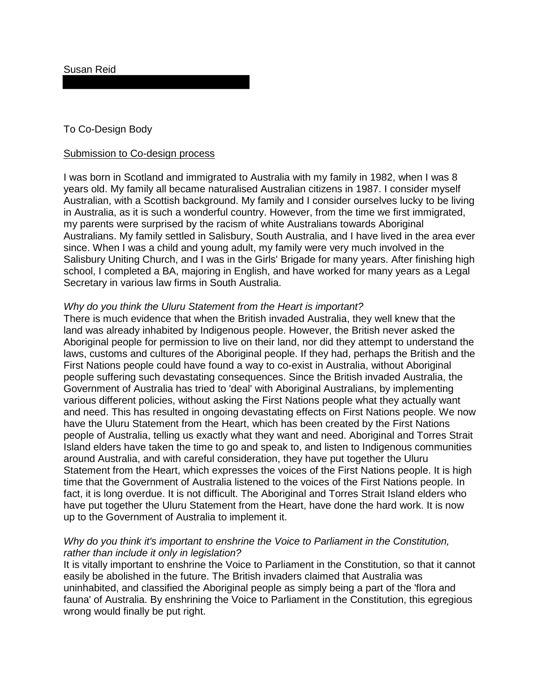Susan Reid

# To Co-Design Body

#### Submission to Co-design process

I was born in Scotland and immigrated to Australia with my family in 1982, when I was 8 years old. My family all became naturalised Australian citizens in 1987. I consider myself Australian, with a Scottish background. My family and I consider ourselves lucky to be living in Australia, as it is such a wonderful country. However, from the time we first immigrated, my parents were surprised by the racism of white Australians towards Aboriginal Australians. My family settled in Salisbury, South Australia, and I have lived in the area ever since. When I was a child and young adult, my family were very much involved in the Salisbury Uniting Church, and I was in the Girls' Brigade for many years. After finishing high school, I completed a BA, majoring in English, and have worked for many years as a Legal Secretary in various law firms in South Australia.

### *Why do you think the Uluru Statement from the Heart is important?*

There is much evidence that when the British invaded Australia, they well knew that the land was already inhabited by Indigenous people. However, the British never asked the Aboriginal people for permission to live on their land, nor did they attempt to understand the laws, customs and cultures of the Aboriginal people. If they had, perhaps the British and the First Nations people could have found a way to co-exist in Australia, without Aboriginal people suffering such devastating consequences. Since the British invaded Australia, the Government of Australia has tried to 'deal' with Aboriginal Australians, by implementing various different policies, without asking the First Nations people what they actually want and need. This has resulted in ongoing devastating effects on First Nations people. We now have the Uluru Statement from the Heart, which has been created by the First Nations people of Australia, telling us exactly what they want and need. Aboriginal and Torres Strait Island elders have taken the time to go and speak to, and listen to Indigenous communities around Australia, and with careful consideration, they have put together the Uluru Statement from the Heart, which expresses the voices of the First Nations people. It is high time that the Government of Australia listened to the voices of the First Nations people. In fact, it is long overdue. It is not difficult. The Aboriginal and Torres Strait Island elders who have put together the Uluru Statement from the Heart, have done the hard work. It is now up to the Government of Australia to implement it.

## *Why do you think it's important to enshrine the Voice to Parliament in the Constitution, rather than include it only in legislation?*

It is vitally important to enshrine the Voice to Parliament in the Constitution, so that it cannot easily be abolished in the future. The British invaders claimed that Australia was uninhabited, and classified the Aboriginal people as simply being a part of the 'flora and fauna' of Australia. By enshrining the Voice to Parliament in the Constitution, this egregious wrong would finally be put right.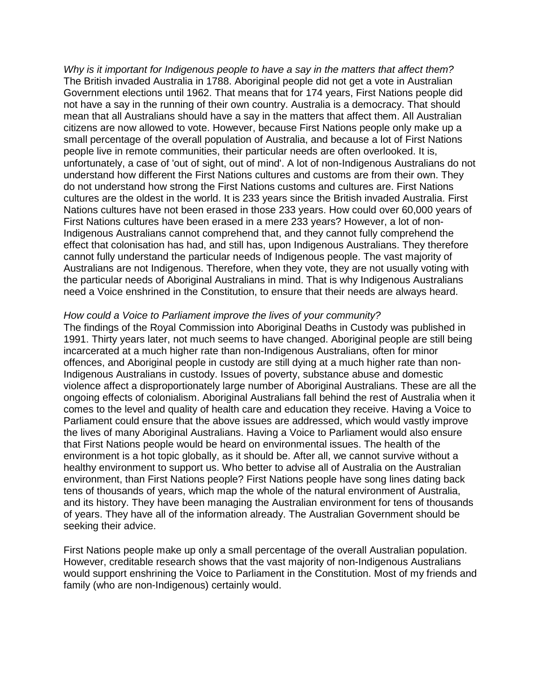*Why is it important for Indigenous people to have a say in the matters that affect them?* The British invaded Australia in 1788. Aboriginal people did not get a vote in Australian Government elections until 1962. That means that for 174 years, First Nations people did not have a say in the running of their own country. Australia is a democracy. That should mean that all Australians should have a say in the matters that affect them. All Australian citizens are now allowed to vote. However, because First Nations people only make up a small percentage of the overall population of Australia, and because a lot of First Nations people live in remote communities, their particular needs are often overlooked. It is, unfortunately, a case of 'out of sight, out of mind'. A lot of non-Indigenous Australians do not understand how different the First Nations cultures and customs are from their own. They do not understand how strong the First Nations customs and cultures are. First Nations cultures are the oldest in the world. It is 233 years since the British invaded Australia. First Nations cultures have not been erased in those 233 years. How could over 60,000 years of First Nations cultures have been erased in a mere 233 years? However, a lot of non-Indigenous Australians cannot comprehend that, and they cannot fully comprehend the effect that colonisation has had, and still has, upon Indigenous Australians. They therefore cannot fully understand the particular needs of Indigenous people. The vast majority of Australians are not Indigenous. Therefore, when they vote, they are not usually voting with the particular needs of Aboriginal Australians in mind. That is why Indigenous Australians need a Voice enshrined in the Constitution, to ensure that their needs are always heard.

#### *How could a Voice to Parliament improve the lives of your community?*

The findings of the Royal Commission into Aboriginal Deaths in Custody was published in 1991. Thirty years later, not much seems to have changed. Aboriginal people are still being incarcerated at a much higher rate than non-Indigenous Australians, often for minor offences, and Aboriginal people in custody are still dying at a much higher rate than non-Indigenous Australians in custody. Issues of poverty, substance abuse and domestic violence affect a disproportionately large number of Aboriginal Australians. These are all the ongoing effects of colonialism. Aboriginal Australians fall behind the rest of Australia when it comes to the level and quality of health care and education they receive. Having a Voice to Parliament could ensure that the above issues are addressed, which would vastly improve the lives of many Aboriginal Australians. Having a Voice to Parliament would also ensure that First Nations people would be heard on environmental issues. The health of the environment is a hot topic globally, as it should be. After all, we cannot survive without a healthy environment to support us. Who better to advise all of Australia on the Australian environment, than First Nations people? First Nations people have song lines dating back tens of thousands of years, which map the whole of the natural environment of Australia, and its history. They have been managing the Australian environment for tens of thousands of years. They have all of the information already. The Australian Government should be seeking their advice.

First Nations people make up only a small percentage of the overall Australian population. However, creditable research shows that the vast majority of non-Indigenous Australians would support enshrining the Voice to Parliament in the Constitution. Most of my friends and family (who are non-Indigenous) certainly would.